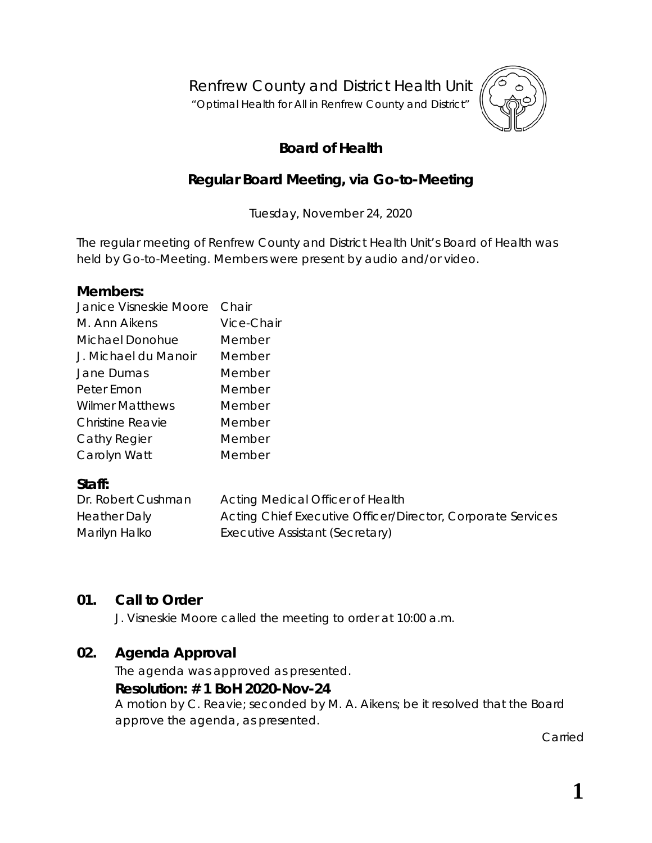Renfrew County and District Health Unit

"*Optimal Health for All in Renfrew County and District"*



# **Board of Health**

# **Regular Board Meeting, via Go-to-Meeting**

Tuesday, November 24, 2020

The regular meeting of Renfrew County and District Health Unit's Board of Health was held by *Go-to-Meeting*. Members were present by audio and/or video.

#### **Members:**

| Vice-Chair |
|------------|
| Member     |
| Member     |
| Member     |
| Member     |
| Member     |
| Member     |
| Member     |
| Member     |
|            |

#### **Staff:**

| Dr. Robert Cushman | Acting Medical Officer of Health                            |
|--------------------|-------------------------------------------------------------|
| Heather Daly       | Acting Chief Executive Officer/Director, Corporate Services |
| Marilyn Halko      | Executive Assistant (Secretary)                             |

#### **01. Call to Order**

J. Visneskie Moore called the meeting to order at 10:00 a.m.

# **02. Agenda Approval**

The agenda was approved as presented.

#### **Resolution: # 1 BoH 2020-Nov-24**

A motion by C. Reavie; seconded by M. A. Aikens; be it resolved that the Board approve the agenda, as presented.

Carried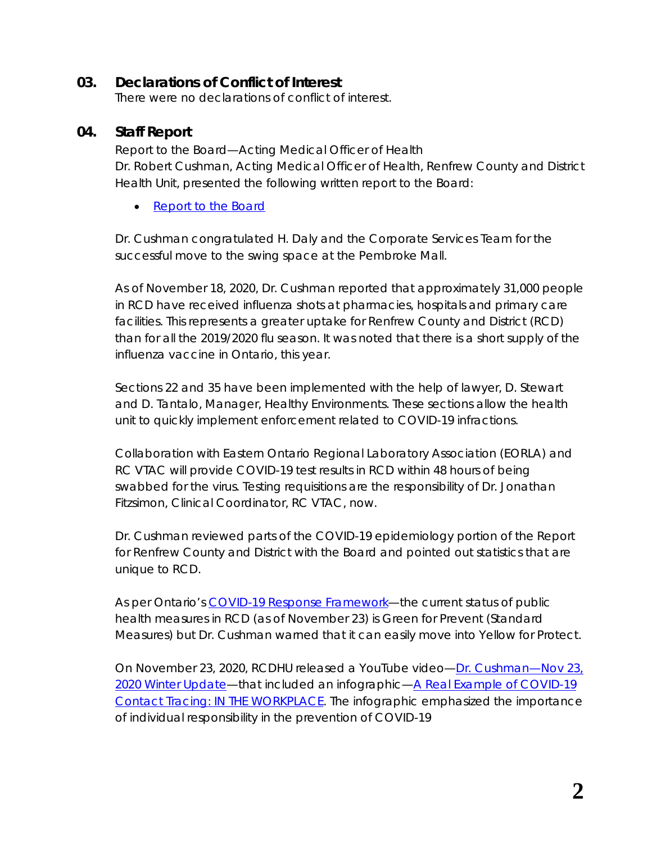### **03. Declarations of Conflict of Interest**

There were no declarations of conflict of interest.

## **04. Staff Report**

Report to the Board—Acting Medical Officer of Health Dr. Robert Cushman, Acting Medical Officer of Health, Renfrew County and District Health Unit, presented the following written report to the Board:

• [Report to the Board](https://www.rcdhu.com/wp-content/uploads/2020/12/04.-Report-to-the-Board-November-2020-MOHA.pdf)

Dr. Cushman congratulated H. Daly and the Corporate Services Team for the successful move to the swing space at the Pembroke Mall.

As of November 18, 2020, Dr. Cushman reported that approximately 31,000 people in RCD have received influenza shots at pharmacies, hospitals and primary care facilities. This represents a greater uptake for Renfrew County and District (RCD) than for all the 2019/2020 flu season. It was noted that there is a short supply of the influenza vaccine in Ontario, this year.

Sections 22 and 35 have been implemented with the help of lawyer, D. Stewart and D. Tantalo, Manager, Healthy Environments. These sections allow the health unit to quickly implement enforcement related to COVID-19 infractions.

Collaboration with Eastern Ontario Regional Laboratory Association (EORLA) and RC VTAC will provide COVID-19 test results in RCD within 48 hours of being swabbed for the virus. Testing requisitions are the responsibility of Dr. Jonathan Fitzsimon, Clinical Coordinator, RC VTAC, now.

Dr. Cushman reviewed parts of the COVID-19 epidemiology portion of the Report for Renfrew County and District with the Board and pointed out statistics that are unique to RCD.

As per Ontario's [COVID-19 Response Framework—](https://www.ontario.ca/page/covid-19-response-framework-keeping-ontario-safe-and-open)the current status of public health measures in RCD (as of November 23) is Green for Prevent (Standard Measures) but Dr. Cushman warned that it can easily move into Yellow for Protect.

On November 23, 2020, RCDHU released a YouTube video[—Dr. Cushman—Nov 23,](https://www.youtube.com/watch?v=A2X4jJWjlp8&feature=youtu.be)  [2020 Winter Update—](https://www.youtube.com/watch?v=A2X4jJWjlp8&feature=youtu.be)that included an infographic[—A Real Example of COVID-19](https://www.rcdhu.com/wp-content/uploads/2020/11/Nov23_WORKPLACE-Contact-Tracing-Infographic.pdf)  [Contact Tracing: IN THE WORKPLACE.](https://www.rcdhu.com/wp-content/uploads/2020/11/Nov23_WORKPLACE-Contact-Tracing-Infographic.pdf) The infographic emphasized the importance of individual responsibility in the prevention of COVID-19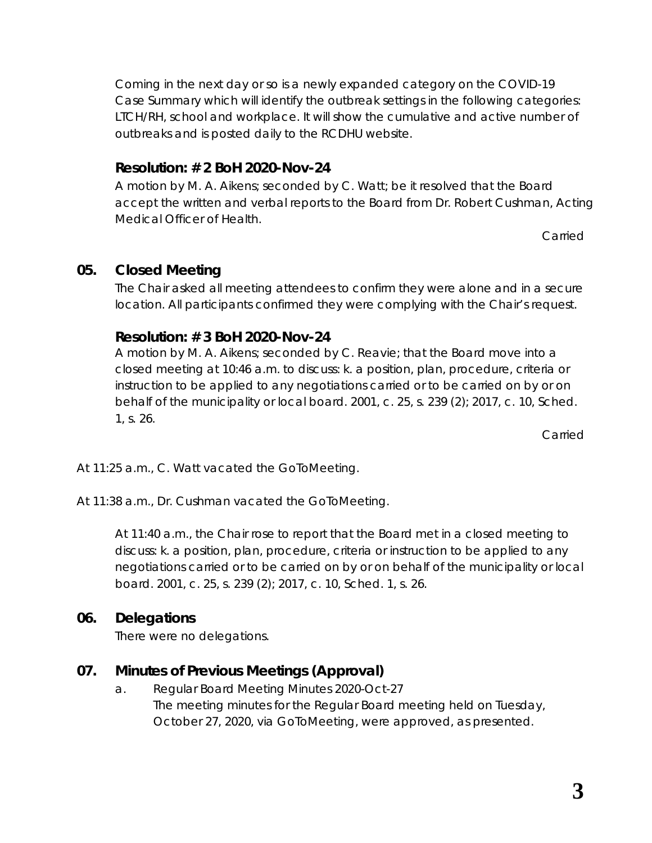Coming in the next day or so is a newly expanded category on the COVID-19 Case Summary which will identify the outbreak settings in the following categories: LTCH/RH, school and workplace. It will show the cumulative and active number of outbreaks and is posted daily to the RCDHU website.

# **Resolution: # 2 BoH 2020-Nov-24**

A motion by M. A. Aikens; seconded by C. Watt; be it resolved that the Board accept the written and verbal reports to the Board from Dr. Robert Cushman, Acting Medical Officer of Health.

Carried

# **05. Closed Meeting**

The Chair asked all meeting attendees to confirm they were alone and in a secure location. All participants confirmed they were complying with the Chair's request.

# **Resolution: # 3 BoH 2020-Nov-24**

A motion by M. A. Aikens; seconded by C. Reavie; that the Board move into a closed meeting at 10:46 a.m. to discuss: k. a position, plan, procedure, criteria or instruction to be applied to any negotiations carried or to be carried on by or on behalf of the municipality or local board. 2001, c. 25, s. 239 (2); 2017, c. 10, Sched. 1, s. 26.

Carried

At 11:25 a.m., C. Watt vacated the GoToMeeting.

At 11:38 a.m., Dr. Cushman vacated the GoToMeeting.

At 11:40 a.m., the Chair rose to report that the Board met in a closed meeting to discuss: k. a position, plan, procedure, criteria or instruction to be applied to any negotiations carried or to be carried on by or on behalf of the municipality or local board. 2001, c. 25, s. 239 (2); 2017, c. 10, Sched. 1, s. 26.

# **06. Delegations**

There were no delegations.

# **07. Minutes of Previous Meetings (Approval)**

a. Regular Board Meeting Minutes 2020-Oct-27 The meeting minutes for the Regular Board meeting held on Tuesday, October 27, 2020, via *GoToMeeting*, were approved, as presented.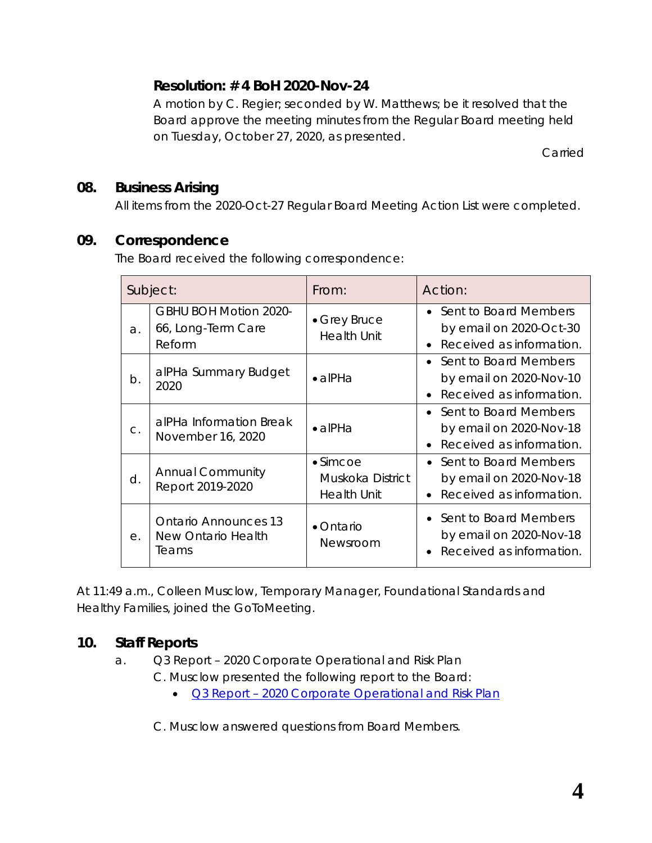# **Resolution: # 4 BoH 2020-Nov-24**

A motion by C. Regier; seconded by W. Matthews; be it resolved that the Board approve the meeting minutes from the Regular Board meeting held on Tuesday, October 27, 2020, as presented.

Carried

## **08. Business Arising**

All items from the 2020-Oct-27 Regular Board Meeting Action List were completed.

### **09. Correspondence**

The Board received the following correspondence:

|            | Subject:                                                     | From:                                                      | Action:                                                                          |
|------------|--------------------------------------------------------------|------------------------------------------------------------|----------------------------------------------------------------------------------|
| a.         | <b>GBHU BOH Motion 2020-</b><br>66, Long-Term Care<br>Reform | • Grey Bruce<br><b>Health Unit</b>                         | • Sent to Board Members<br>by email on 2020-Oct-30<br>Received as information.   |
| b.         | alPHa Summary Budget<br>2020                                 | $\bullet$ alPHa                                            | Sent to Board Members<br>by email on 2020-Nov-10<br>Received as information.     |
| C.         | alPHa Information Break<br>November 16, 2020                 | $\bullet$ alPHa                                            | • Sent to Board Members<br>by email on 2020-Nov-18<br>Received as information.   |
| d.         | <b>Annual Community</b><br>Report 2019-2020                  | $\bullet$ Simcoe<br>Muskoka District<br><b>Health Unit</b> | • Sent to Board Members<br>by email on 2020-Nov-18<br>• Received as information. |
| $\Theta$ . | <b>Ontario Announces 13</b><br>New Ontario Health<br>Teams   | • Ontario<br>Newsroom                                      | • Sent to Board Members<br>by email on 2020-Nov-18<br>Received as information.   |

At 11:49 a.m., Colleen Musclow, Temporary Manager, Foundational Standards and Healthy Families, joined the GoToMeeting.

# **10. Staff Reports**

a. Q3 Report – 2020 Corporate Operational and Risk Plan C. Musclow presented the following report to the Board:

• **Q3 Report - [2020 Corporate Operational and Risk Plan](https://www.rcdhu.com/wp-content/uploads/2020/12/10.-a.-Q3-Report-2020-Corporate-Operational-Plan.pdf)** 

C. Musclow answered questions from Board Members.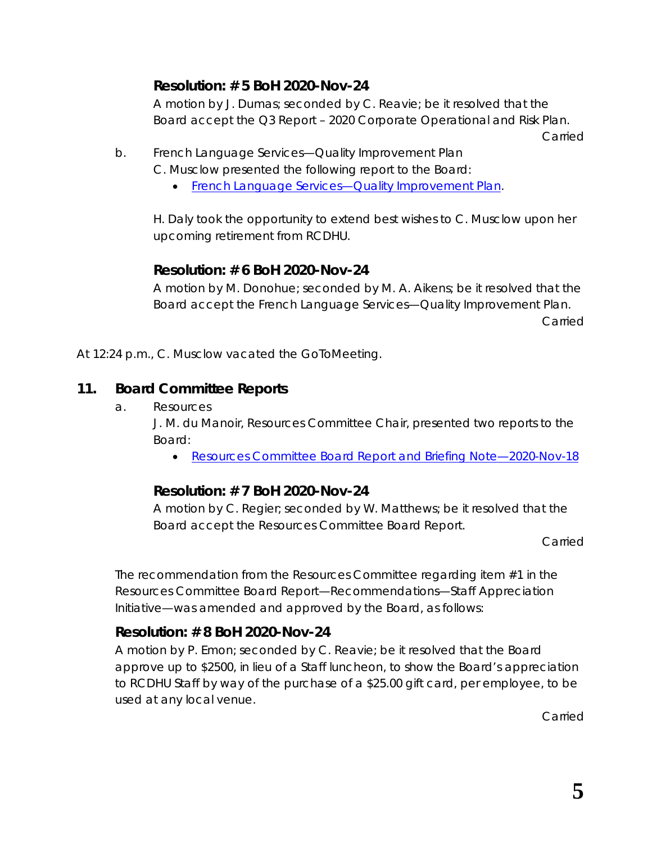# **Resolution: # 5 BoH 2020-Nov-24**

A motion by J. Dumas; seconded by C. Reavie; be it resolved that the Board accept the Q3 Report – 2020 Corporate Operational and Risk Plan.

Carried

- b. French Language Services—Quality Improvement Plan
	- C. Musclow presented the following report to the Board:
		- French Language Services-Quality Improvement Plan.

H. Daly took the opportunity to extend best wishes to C. Musclow upon her upcoming retirement from RCDHU.

### **Resolution: # 6 BoH 2020-Nov-24**

A motion by M. Donohue; seconded by M. A. Aikens; be it resolved that the Board accept the French Language Services—Quality Improvement Plan. **Carried** 

At 12:24 p.m., C. Musclow vacated the GoToMeeting.

# **11. Board Committee Reports**

a. Resources

J. M. du Manoir, Resources Committee Chair, presented two reports to the Board:

• [Resources Committee Board Report](https://www.rcdhu.com/wp-content/uploads/2020/12/11.-Resources-Committee-Board-Report-Open-for-2020-Nov-24.pdf) and Briefing Note—2020-Nov-18

# **Resolution: # 7 BoH 2020-Nov-24**

A motion by C. Regier; seconded by W. Matthews; be it resolved that the Board accept the Resources Committee Board Report.

Carried

The recommendation from the Resources Committee regarding item #1 in the Resources Committee Board Report—Recommendations—Staff Appreciation Initiative—was amended and approved by the Board, as follows:

# **Resolution: # 8 BoH 2020-Nov-24**

A motion by P. Emon; seconded by C. Reavie; be it resolved that the Board approve up to \$2500, in lieu of a Staff luncheon, to show the Board's appreciation to RCDHU Staff by way of the purchase of a \$25.00 gift card, per employee, to be used at any local venue.

Carried